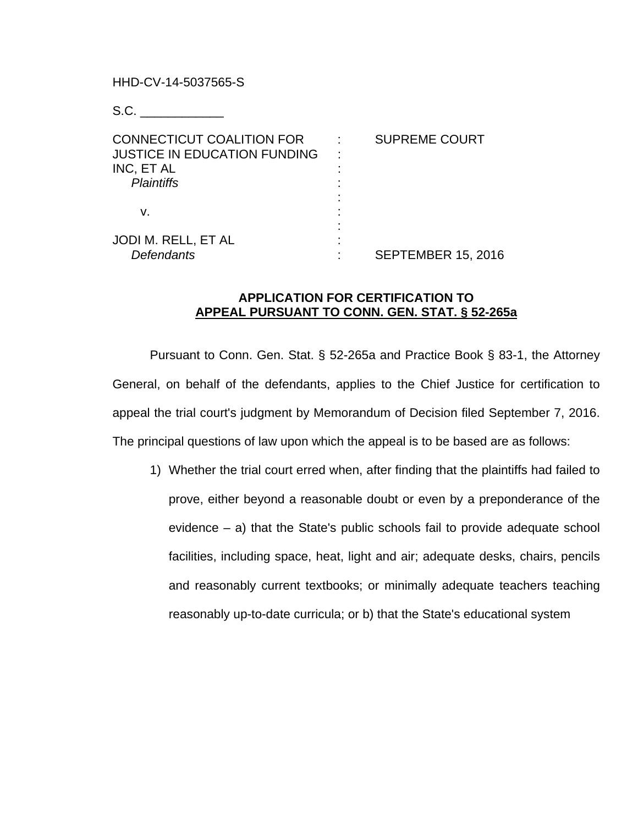HHD-CV-14-5037565-S

S.C. \_\_\_\_\_\_\_\_\_\_\_\_

| <b>CONNECTICUT COALITION FOR</b><br><b>JUSTICE IN EDUCATION FUNDING</b><br>INC, ET AL | <b>SUPREME COURT</b>      |
|---------------------------------------------------------------------------------------|---------------------------|
| <b>Plaintiffs</b><br>v.                                                               |                           |
| JODI M. RELL, ET AL<br><b>Defendants</b>                                              | <b>SEPTEMBER 15, 2016</b> |

## **APPLICATION FOR CERTIFICATION TO APPEAL PURSUANT TO CONN. GEN. STAT. § 52-265a**

Pursuant to Conn. Gen. Stat. § 52-265a and Practice Book § 83-1, the Attorney General, on behalf of the defendants, applies to the Chief Justice for certification to appeal the trial court's judgment by Memorandum of Decision filed September 7, 2016. The principal questions of law upon which the appeal is to be based are as follows:

1) Whether the trial court erred when, after finding that the plaintiffs had failed to prove, either beyond a reasonable doubt or even by a preponderance of the evidence – a) that the State's public schools fail to provide adequate school facilities, including space, heat, light and air; adequate desks, chairs, pencils and reasonably current textbooks; or minimally adequate teachers teaching reasonably up-to-date curricula; or b) that the State's educational system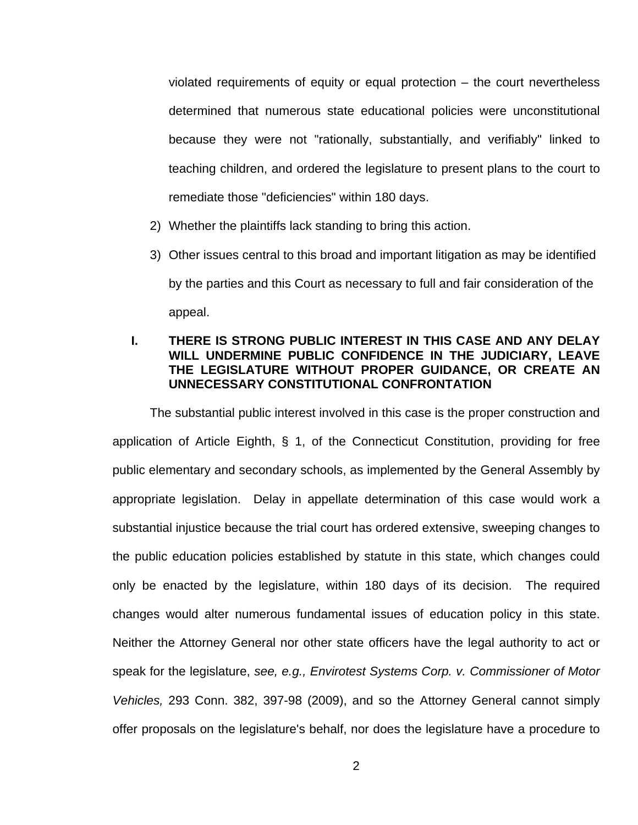violated requirements of equity or equal protection – the court nevertheless determined that numerous state educational policies were unconstitutional because they were not "rationally, substantially, and verifiably" linked to teaching children, and ordered the legislature to present plans to the court to remediate those "deficiencies" within 180 days.

- 2) Whether the plaintiffs lack standing to bring this action.
- 3) Other issues central to this broad and important litigation as may be identified by the parties and this Court as necessary to full and fair consideration of the appeal.

# **I. THERE IS STRONG PUBLIC INTEREST IN THIS CASE AND ANY DELAY WILL UNDERMINE PUBLIC CONFIDENCE IN THE JUDICIARY, LEAVE THE LEGISLATURE WITHOUT PROPER GUIDANCE, OR CREATE AN UNNECESSARY CONSTITUTIONAL CONFRONTATION**

The substantial public interest involved in this case is the proper construction and application of Article Eighth, § 1, of the Connecticut Constitution, providing for free public elementary and secondary schools, as implemented by the General Assembly by appropriate legislation. Delay in appellate determination of this case would work a substantial injustice because the trial court has ordered extensive, sweeping changes to the public education policies established by statute in this state, which changes could only be enacted by the legislature, within 180 days of its decision. The required changes would alter numerous fundamental issues of education policy in this state. Neither the Attorney General nor other state officers have the legal authority to act or speak for the legislature, *see, e.g., Envirotest Systems Corp. v. Commissioner of Motor Vehicles,* 293 Conn. 382, 397-98 (2009), and so the Attorney General cannot simply offer proposals on the legislature's behalf, nor does the legislature have a procedure to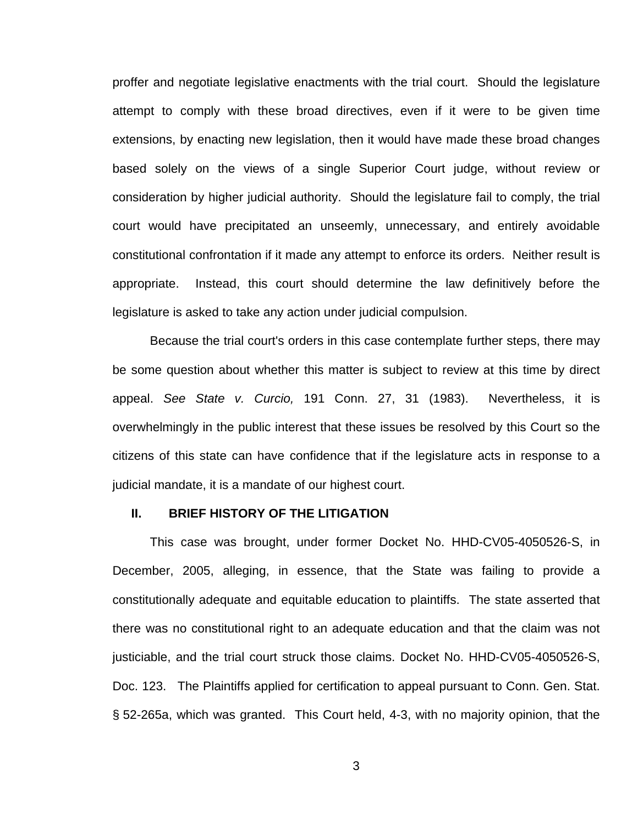proffer and negotiate legislative enactments with the trial court. Should the legislature attempt to comply with these broad directives, even if it were to be given time extensions, by enacting new legislation, then it would have made these broad changes based solely on the views of a single Superior Court judge, without review or consideration by higher judicial authority. Should the legislature fail to comply, the trial court would have precipitated an unseemly, unnecessary, and entirely avoidable constitutional confrontation if it made any attempt to enforce its orders. Neither result is appropriate. Instead, this court should determine the law definitively before the legislature is asked to take any action under judicial compulsion.

Because the trial court's orders in this case contemplate further steps, there may be some question about whether this matter is subject to review at this time by direct appeal. *See State v. Curcio,* 191 Conn. 27, 31 (1983). Nevertheless, it is overwhelmingly in the public interest that these issues be resolved by this Court so the citizens of this state can have confidence that if the legislature acts in response to a judicial mandate, it is a mandate of our highest court.

#### **II. BRIEF HISTORY OF THE LITIGATION**

This case was brought, under former Docket No. HHD-CV05-4050526-S, in December, 2005, alleging, in essence, that the State was failing to provide a constitutionally adequate and equitable education to plaintiffs. The state asserted that there was no constitutional right to an adequate education and that the claim was not justiciable, and the trial court struck those claims. Docket No. HHD-CV05-4050526-S, Doc. 123. The Plaintiffs applied for certification to appeal pursuant to Conn. Gen. Stat. § 52-265a, which was granted. This Court held, 4-3, with no majority opinion, that the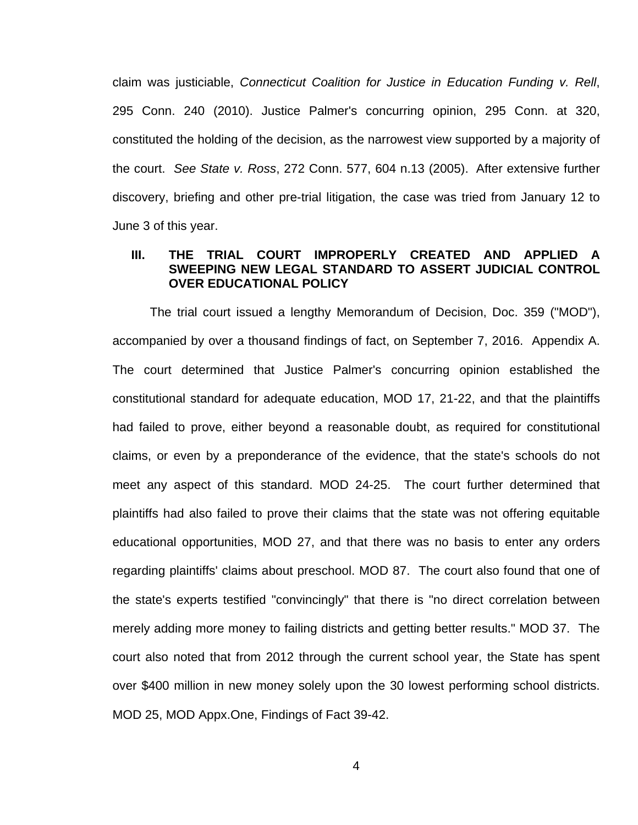claim was justiciable, *Connecticut Coalition for Justice in Education Funding v. Rell*, 295 Conn. 240 (2010). Justice Palmer's concurring opinion, 295 Conn. at 320, constituted the holding of the decision, as the narrowest view supported by a majority of the court. *See State v. Ross*, 272 Conn. 577, 604 n.13 (2005). After extensive further discovery, briefing and other pre-trial litigation, the case was tried from January 12 to June 3 of this year.

## **III. THE TRIAL COURT IMPROPERLY CREATED AND APPLIED SWEEPING NEW LEGAL STANDARD TO ASSERT JUDICIAL CONTROL OVER EDUCATIONAL POLICY**

The trial court issued a lengthy Memorandum of Decision, Doc. 359 ("MOD"), accompanied by over a thousand findings of fact, on September 7, 2016. Appendix A. The court determined that Justice Palmer's concurring opinion established the constitutional standard for adequate education, MOD 17, 21-22, and that the plaintiffs had failed to prove, either beyond a reasonable doubt, as required for constitutional claims, or even by a preponderance of the evidence, that the state's schools do not meet any aspect of this standard. MOD 24-25. The court further determined that plaintiffs had also failed to prove their claims that the state was not offering equitable educational opportunities, MOD 27, and that there was no basis to enter any orders regarding plaintiffs' claims about preschool. MOD 87. The court also found that one of the state's experts testified "convincingly" that there is "no direct correlation between merely adding more money to failing districts and getting better results." MOD 37. The court also noted that from 2012 through the current school year, the State has spent over \$400 million in new money solely upon the 30 lowest performing school districts. MOD 25, MOD Appx.One, Findings of Fact 39-42.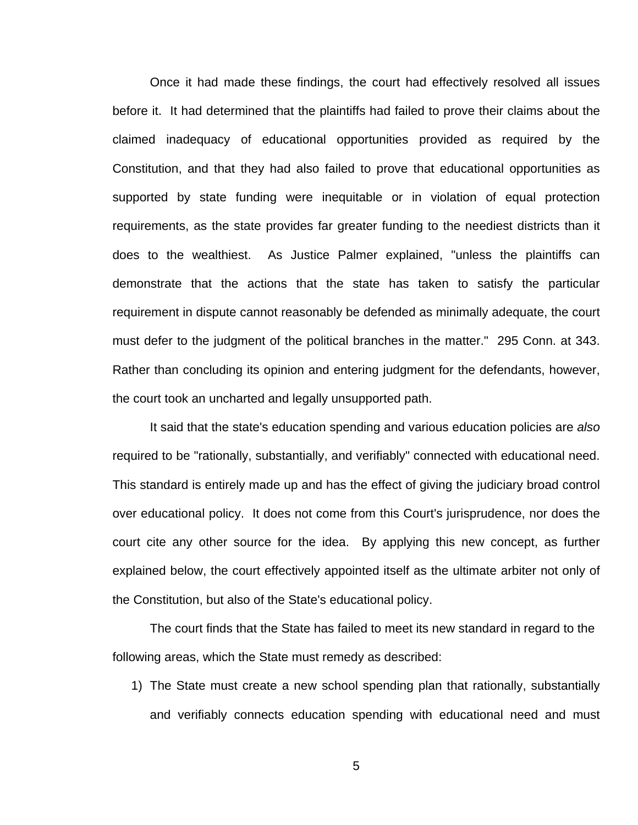Once it had made these findings, the court had effectively resolved all issues before it. It had determined that the plaintiffs had failed to prove their claims about the claimed inadequacy of educational opportunities provided as required by the Constitution, and that they had also failed to prove that educational opportunities as supported by state funding were inequitable or in violation of equal protection requirements, as the state provides far greater funding to the neediest districts than it does to the wealthiest. As Justice Palmer explained, "unless the plaintiffs can demonstrate that the actions that the state has taken to satisfy the particular requirement in dispute cannot reasonably be defended as minimally adequate, the court must defer to the judgment of the political branches in the matter." 295 Conn. at 343. Rather than concluding its opinion and entering judgment for the defendants, however, the court took an uncharted and legally unsupported path.

It said that the state's education spending and various education policies are *also* required to be "rationally, substantially, and verifiably" connected with educational need. This standard is entirely made up and has the effect of giving the judiciary broad control over educational policy. It does not come from this Court's jurisprudence, nor does the court cite any other source for the idea. By applying this new concept, as further explained below, the court effectively appointed itself as the ultimate arbiter not only of the Constitution, but also of the State's educational policy.

 The court finds that the State has failed to meet its new standard in regard to the following areas, which the State must remedy as described:

1) The State must create a new school spending plan that rationally, substantially and verifiably connects education spending with educational need and must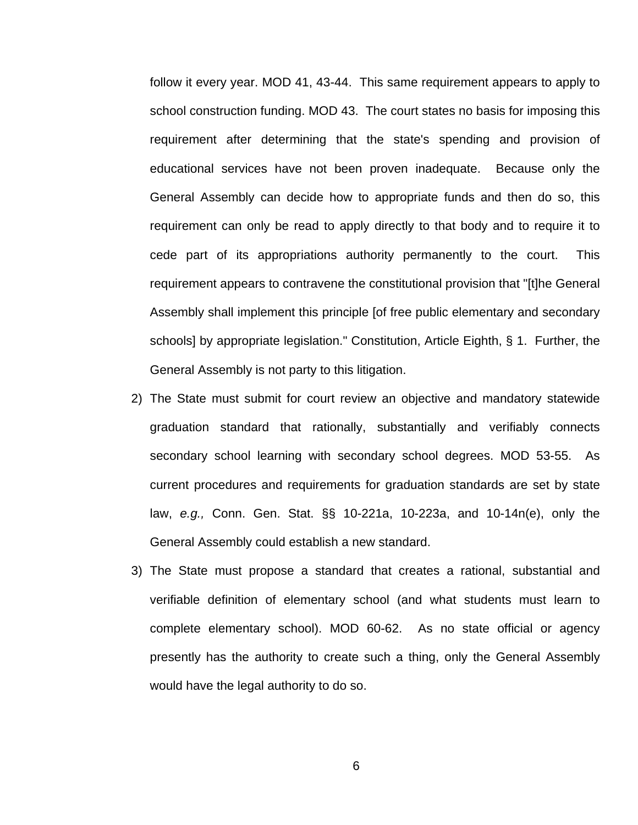follow it every year. MOD 41, 43-44. This same requirement appears to apply to school construction funding. MOD 43. The court states no basis for imposing this requirement after determining that the state's spending and provision of educational services have not been proven inadequate. Because only the General Assembly can decide how to appropriate funds and then do so, this requirement can only be read to apply directly to that body and to require it to cede part of its appropriations authority permanently to the court. This requirement appears to contravene the constitutional provision that "[t]he General Assembly shall implement this principle [of free public elementary and secondary schools] by appropriate legislation." Constitution, Article Eighth, § 1. Further, the General Assembly is not party to this litigation.

- 2) The State must submit for court review an objective and mandatory statewide graduation standard that rationally, substantially and verifiably connects secondary school learning with secondary school degrees. MOD 53-55. As current procedures and requirements for graduation standards are set by state law, *e.g.,* Conn. Gen. Stat. §§ 10-221a, 10-223a, and 10-14n(e), only the General Assembly could establish a new standard.
- 3) The State must propose a standard that creates a rational, substantial and verifiable definition of elementary school (and what students must learn to complete elementary school). MOD 60-62. As no state official or agency presently has the authority to create such a thing, only the General Assembly would have the legal authority to do so.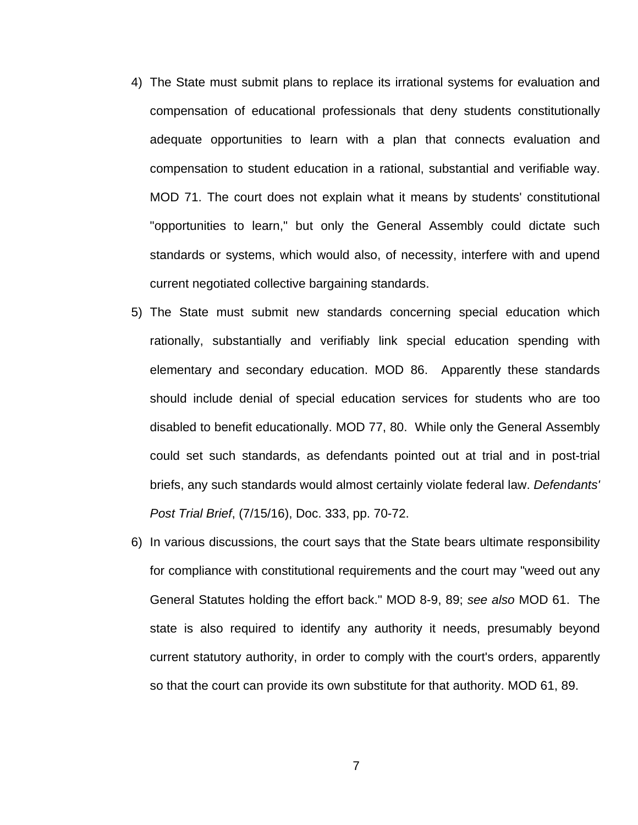- 4) The State must submit plans to replace its irrational systems for evaluation and compensation of educational professionals that deny students constitutionally adequate opportunities to learn with a plan that connects evaluation and compensation to student education in a rational, substantial and verifiable way. MOD 71. The court does not explain what it means by students' constitutional "opportunities to learn," but only the General Assembly could dictate such standards or systems, which would also, of necessity, interfere with and upend current negotiated collective bargaining standards.
- 5) The State must submit new standards concerning special education which rationally, substantially and verifiably link special education spending with elementary and secondary education. MOD 86. Apparently these standards should include denial of special education services for students who are too disabled to benefit educationally. MOD 77, 80. While only the General Assembly could set such standards, as defendants pointed out at trial and in post-trial briefs, any such standards would almost certainly violate federal law. *Defendants' Post Trial Brief*, (7/15/16), Doc. 333, pp. 70-72.
- 6) In various discussions, the court says that the State bears ultimate responsibility for compliance with constitutional requirements and the court may "weed out any General Statutes holding the effort back." MOD 8-9, 89; *see also* MOD 61. The state is also required to identify any authority it needs, presumably beyond current statutory authority, in order to comply with the court's orders, apparently so that the court can provide its own substitute for that authority. MOD 61, 89.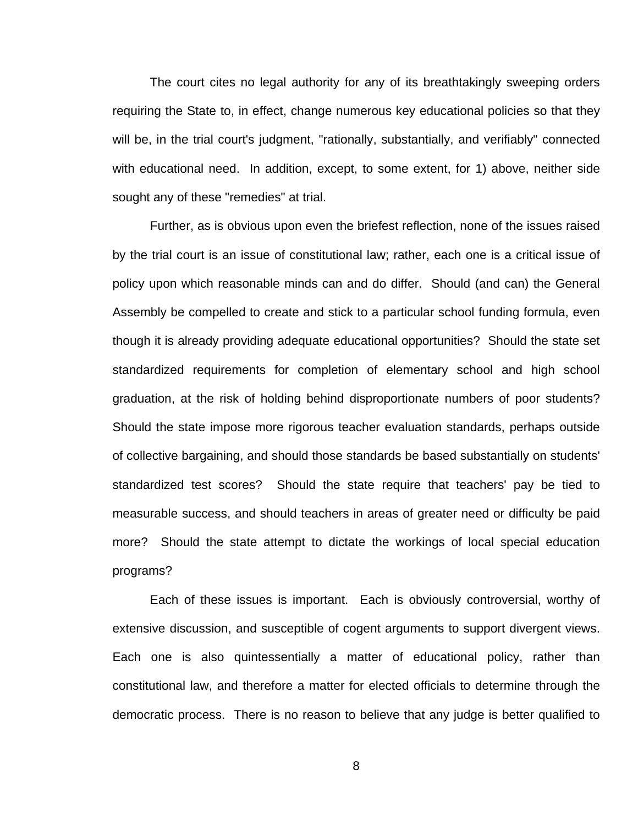The court cites no legal authority for any of its breathtakingly sweeping orders requiring the State to, in effect, change numerous key educational policies so that they will be, in the trial court's judgment, "rationally, substantially, and verifiably" connected with educational need. In addition, except, to some extent, for 1) above, neither side sought any of these "remedies" at trial.

Further, as is obvious upon even the briefest reflection, none of the issues raised by the trial court is an issue of constitutional law; rather, each one is a critical issue of policy upon which reasonable minds can and do differ. Should (and can) the General Assembly be compelled to create and stick to a particular school funding formula, even though it is already providing adequate educational opportunities? Should the state set standardized requirements for completion of elementary school and high school graduation, at the risk of holding behind disproportionate numbers of poor students? Should the state impose more rigorous teacher evaluation standards, perhaps outside of collective bargaining, and should those standards be based substantially on students' standardized test scores? Should the state require that teachers' pay be tied to measurable success, and should teachers in areas of greater need or difficulty be paid more? Should the state attempt to dictate the workings of local special education programs?

Each of these issues is important. Each is obviously controversial, worthy of extensive discussion, and susceptible of cogent arguments to support divergent views. Each one is also quintessentially a matter of educational policy, rather than constitutional law, and therefore a matter for elected officials to determine through the democratic process. There is no reason to believe that any judge is better qualified to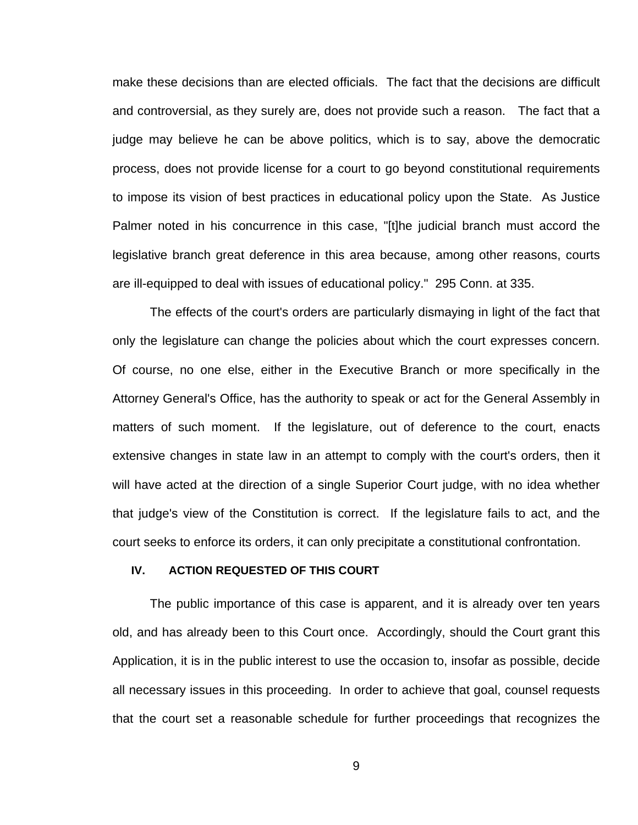make these decisions than are elected officials. The fact that the decisions are difficult and controversial, as they surely are, does not provide such a reason. The fact that a judge may believe he can be above politics, which is to say, above the democratic process, does not provide license for a court to go beyond constitutional requirements to impose its vision of best practices in educational policy upon the State. As Justice Palmer noted in his concurrence in this case, "[t]he judicial branch must accord the legislative branch great deference in this area because, among other reasons, courts are ill-equipped to deal with issues of educational policy." 295 Conn. at 335.

The effects of the court's orders are particularly dismaying in light of the fact that only the legislature can change the policies about which the court expresses concern. Of course, no one else, either in the Executive Branch or more specifically in the Attorney General's Office, has the authority to speak or act for the General Assembly in matters of such moment. If the legislature, out of deference to the court, enacts extensive changes in state law in an attempt to comply with the court's orders, then it will have acted at the direction of a single Superior Court judge, with no idea whether that judge's view of the Constitution is correct. If the legislature fails to act, and the court seeks to enforce its orders, it can only precipitate a constitutional confrontation.

#### **IV. ACTION REQUESTED OF THIS COURT**

 The public importance of this case is apparent, and it is already over ten years old, and has already been to this Court once. Accordingly, should the Court grant this Application, it is in the public interest to use the occasion to, insofar as possible, decide all necessary issues in this proceeding. In order to achieve that goal, counsel requests that the court set a reasonable schedule for further proceedings that recognizes the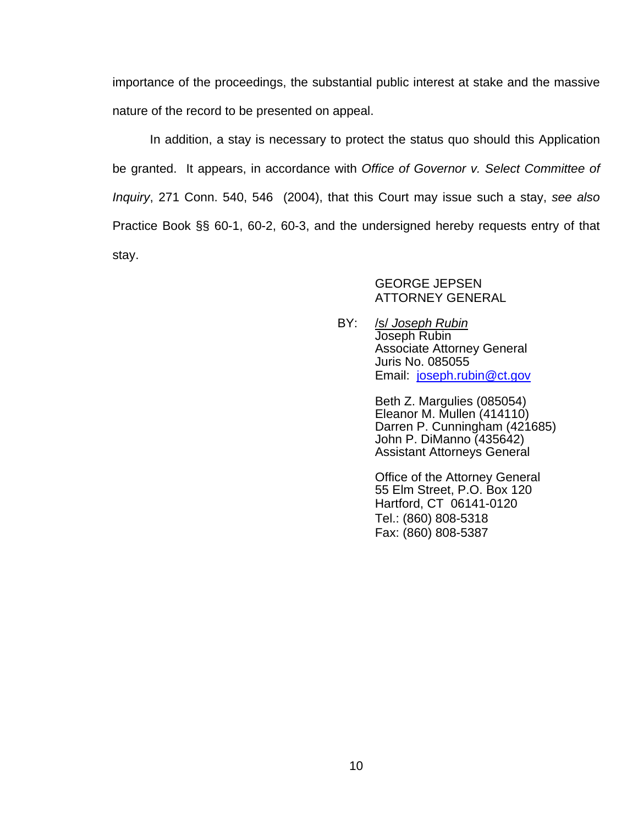importance of the proceedings, the substantial public interest at stake and the massive nature of the record to be presented on appeal.

 In addition, a stay is necessary to protect the status quo should this Application be granted. It appears, in accordance with *Office of Governor v. Select Committee of Inquiry*, 271 Conn. 540, 546 (2004), that this Court may issue such a stay, *see also*  Practice Book §§ 60-1, 60-2, 60-3, and the undersigned hereby requests entry of that stay.

## GEORGE JEPSEN ATTORNEY GENERAL

BY: /s/ *Joseph Rubin* Joseph Rubin Associate Attorney General Juris No. 085055 Email: joseph.rubin@ct.gov

> Beth Z. Margulies (085054) Eleanor M. Mullen (414110) Darren P. Cunningham (421685) John P. DiManno (435642) Assistant Attorneys General

Office of the Attorney General 55 Elm Street, P.O. Box 120 Hartford, CT 06141-0120 Tel.: (860) 808-5318 Fax: (860) 808-5387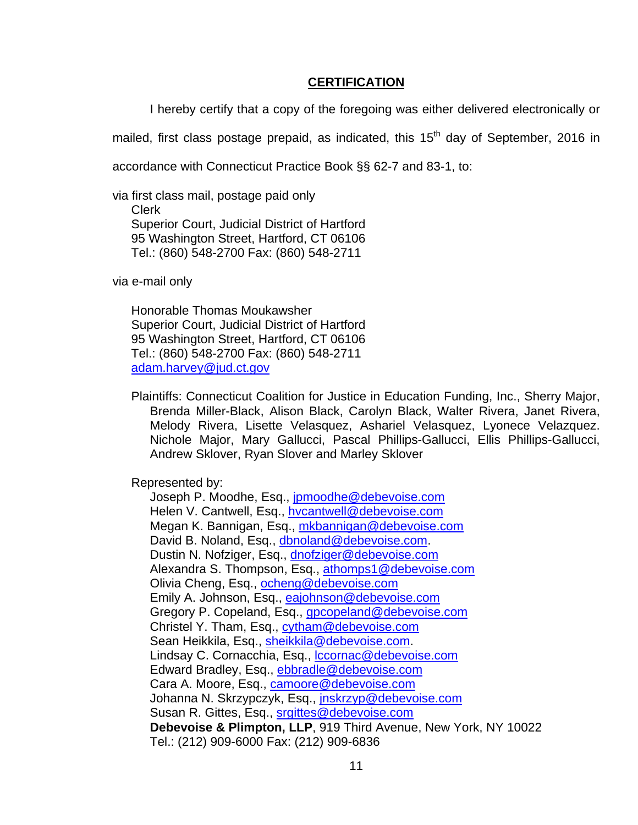### **CERTIFICATION**

I hereby certify that a copy of the foregoing was either delivered electronically or

mailed, first class postage prepaid, as indicated, this  $15<sup>th</sup>$  day of September, 2016 in

accordance with Connecticut Practice Book §§ 62-7 and 83-1, to:

via first class mail, postage paid only Clerk Superior Court, Judicial District of Hartford 95 Washington Street, Hartford, CT 06106 Tel.: (860) 548-2700 Fax: (860) 548-2711

via e-mail only

 Honorable Thomas Moukawsher Superior Court, Judicial District of Hartford 95 Washington Street, Hartford, CT 06106 Tel.: (860) 548-2700 Fax: (860) 548-2711 adam.harvey@jud.ct.gov

 Plaintiffs: Connecticut Coalition for Justice in Education Funding, Inc., Sherry Major, Brenda Miller-Black, Alison Black, Carolyn Black, Walter Rivera, Janet Rivera, Melody Rivera, Lisette Velasquez, Ashariel Velasquez, Lyonece Velazquez. Nichole Major, Mary Gallucci, Pascal Phillips-Gallucci, Ellis Phillips-Gallucci, Andrew Sklover, Ryan Slover and Marley Sklover

Represented by:

Joseph P. Moodhe, Esq., jpmoodhe@debevoise.com Helen V. Cantwell, Esq., hycantwell@debevoise.com Megan K. Bannigan, Esq., mkbannigan@debevoise.com David B. Noland, Esq., dbnoland@debevoise.com. Dustin N. Nofziger, Esq., dnofziger@debevoise.com Alexandra S. Thompson, Esq., athomps1@debevoise.com Olivia Cheng, Esq., ocheng@debevoise.com Emily A. Johnson, Esq., eajohnson@debevoise.com Gregory P. Copeland, Esq., *gpcopeland@debevoise.com* Christel Y. Tham, Esq., cytham@debevoise.com Sean Heikkila, Esq., sheikkila@debevoise.com. Lindsay C. Cornacchia, Esq., lccornac@debevoise.com Edward Bradley, Esq., ebbradle@debevoise.com Cara A. Moore, Esq., camoore@debevoise.com Johanna N. Skrzypczyk, Esq., jnskrzyp@debevoise.com Susan R. Gittes, Esq., srgittes@debevoise.com **Debevoise & Plimpton, LLP**, 919 Third Avenue, New York, NY 10022 Tel.: (212) 909-6000 Fax: (212) 909-6836